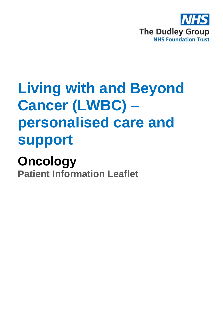

# **Living with and Beyond Cancer (LWBC) – personalised care and support**

# **Oncology**

**Patient Information Leaflet**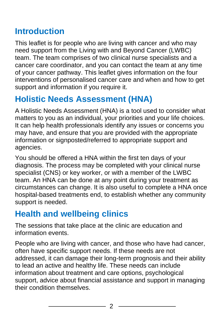## **Introduction**

This leaflet is for people who are living with cancer and who may need support from the Living with and Beyond Cancer (LWBC) team. The team comprises of two clinical nurse specialists and a cancer care coordinator, and you can contact the team at any time of your cancer pathway. This leaflet gives information on the four interventions of personalised cancer care and when and how to get support and information if you require it.

## **Holistic Needs Assessment (HNA)**

A Holistic Needs Assessment (HNA) is a tool used to consider what matters to you as an individual, your priorities and your life choices. It can help health professionals identify any issues or concerns you may have, and ensure that you are provided with the appropriate information or signposted/referred to appropriate support and agencies.

You should be offered a HNA within the first ten days of your diagnosis. The process may be completed with your clinical nurse specialist (CNS) or key worker, or with a member of the LWBC team. An HNA can be done at any point during your treatment as circumstances can change. It is also useful to complete a HNA once hospital-based treatments end, to establish whether any community support is needed.

#### **Health and wellbeing clinics**

The sessions that take place at the clinic are education and information events.

People who are living with cancer, and those who have had cancer, often have specific support needs. If these needs are not addressed, it can damage their long-term prognosis and their ability to lead an active and healthy life. These needs can include information about treatment and care options, psychological support, advice about financial assistance and support in managing their condition themselves.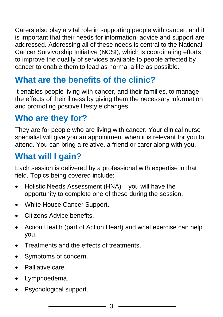Carers also play a vital role in supporting people with cancer, and it is important that their needs for information, advice and support are addressed. Addressing all of these needs is central to the National Cancer Survivorship Initiative (NCSI), which is coordinating efforts to improve the quality of services available to people affected by cancer to enable them to lead as normal a life as possible.

## **What are the benefits of the clinic?**

It enables people living with cancer, and their families, to manage the effects of their illness by giving them the necessary information and promoting positive lifestyle changes.

## **Who are they for?**

They are for people who are living with cancer. Your clinical nurse specialist will give you an appointment when it is relevant for you to attend. You can bring a relative, a friend or carer along with you.

## **What will I gain?**

Each session is delivered by a professional with expertise in that field. Topics being covered include:

- Holistic Needs Assessment (HNA) you will have the opportunity to complete one of these during the session.
- White House Cancer Support.
- Citizens Advice benefits.
- Action Health (part of Action Heart) and what exercise can help you.
- Treatments and the effects of treatments.
- Symptoms of concern.
- Palliative care.
- Lymphoedema.
- Psychological support.

3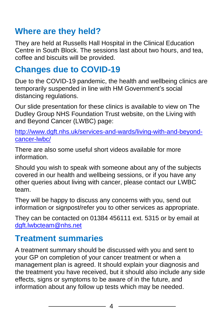#### **Where are they held?**

They are held at Russells Hall Hospital in the Clinical Education Centre in South Block. The sessions last about two hours, and tea, coffee and biscuits will be provided.

#### **Changes due to COVID-19**

Due to the COVID-19 pandemic, the health and wellbeing clinics are temporarily suspended in line with HM Government's social distancing regulations.

Our slide presentation for these clinics is available to view on The Dudley Group NHS Foundation Trust website, on the Living with and Beyond Cancer (LWBC) page:

[http://www.dgft.nhs.uk/services-and-wards/living-with-and-beyond](http://www.dgft.nhs.uk/services-and-wards/living-with-and-beyond-cancer-lwbc/)[cancer-lwbc/](http://www.dgft.nhs.uk/services-and-wards/living-with-and-beyond-cancer-lwbc/)

There are also some useful short videos available for more information.

Should you wish to speak with someone about any of the subjects covered in our health and wellbeing sessions, or if you have any other queries about living with cancer, please contact our LWBC team.

They will be happy to discuss any concerns with you, send out information or signpost/refer you to other services as appropriate.

They can be contacted on 01384 456111 ext. 5315 or by email at [dgft.lwbcteam@nhs.net](mailto:dgft.lwbcteam@nhs.net)

## **Treatment summaries**

A treatment summary should be discussed with you and sent to your GP on completion of your cancer treatment or when a management plan is agreed. It should explain your diagnosis and the treatment you have received, but it should also include any side effects, signs or symptoms to be aware of in the future, and information about any follow up tests which may be needed.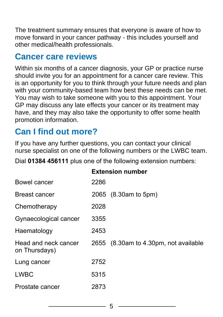The treatment summary ensures that everyone is aware of how to move forward in your cancer pathway - this includes yourself and other medical/health professionals.

#### **Cancer care reviews**

Within six months of a cancer diagnosis, your GP or practice nurse should invite you for an appointment for a cancer care review. This is an opportunity for you to think through your future needs and plan with your community-based team how best these needs can be met. You may wish to take someone with you to this appointment. Your GP may discuss any late effects your cancer or its treatment may have, and they may also take the opportunity to offer some health promotion information.

## **Can I find out more?**

If you have any further questions, you can contact your clinical nurse specialist on one of the following numbers or the LWBC team.

Dial **01384 456111** plus one of the following extension numbers:

|                                       | <b>Extension number</b> |                                       |
|---------------------------------------|-------------------------|---------------------------------------|
| Bowel cancer                          | 2286                    |                                       |
| <b>Breast cancer</b>                  |                         | 2065 (8.30am to 5pm)                  |
| Chemotherapy                          | 2028                    |                                       |
| Gynaecological cancer                 | 3355                    |                                       |
| Haematology                           | 2453                    |                                       |
| Head and neck cancer<br>on Thursdays) |                         | 2655 (8.30am to 4.30pm, not available |
| Lung cancer                           | 2752                    |                                       |
| <b>LWBC</b>                           | 5315                    |                                       |
| Prostate cancer                       | 2873                    |                                       |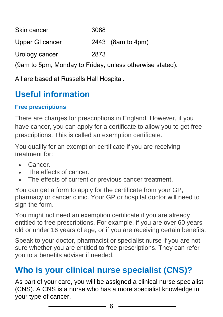| Skin cancer     | 3088                |
|-----------------|---------------------|
| Upper GI cancer | 2443 $(8am to 4pm)$ |
| Urology cancer  | 2873                |

(9am to 5pm, Monday to Friday, unless otherwise stated).

All are based at Russells Hall Hospital.

## **Useful information**

#### **Free prescriptions**

There are charges for prescriptions in England. However, if you have cancer, you can apply for a certificate to allow you to get free prescriptions. This is called an exemption certificate.

You qualify for an exemption certificate if you are receiving treatment for:

- Cancer.
- The effects of cancer
- The effects of current or previous cancer treatment.

You can get a form to apply for the certificate from your GP, pharmacy or cancer clinic. Your GP or hospital doctor will need to sign the form.

You might not need an exemption certificate if you are already entitled to free prescriptions. For example, if you are over 60 years old or under 16 years of age, or if you are receiving certain benefits.

Speak to your doctor, pharmacist or specialist nurse if you are not sure whether you are entitled to free prescriptions. They can refer you to a benefits adviser if needed.

## **Who is your clinical nurse specialist (CNS)?**

As part of your care, you will be assigned a clinical nurse specialist (CNS). A CNS is a nurse who has a more specialist knowledge in your type of cancer.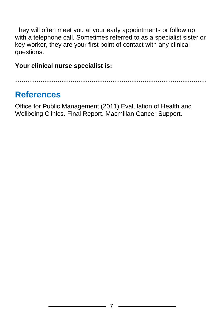They will often meet you at your early appointments or follow up with a telephone call. Sometimes referred to as a specialist sister or key worker, they are your first point of contact with any clinical questions.

#### **Your clinical nurse specialist is:**

**………………………………………………………………………………**

#### **References**

Office for Public Management (2011) Evalulation of Health and Wellbeing Clinics. Final Report. Macmillan Cancer Support.